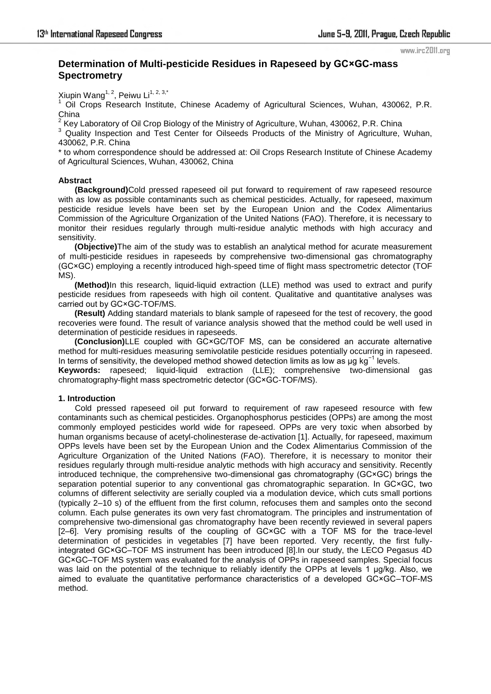#### www.irc2011.org

# **Determination of Multi-pesticide Residues in [Rapeseed](http://www.iciba.com/rapeseed/) by GC×GC-mass Spectrometry**

Xiupin Wang<sup>1, 2</sup>, Peiwu Li<sup>1, 2, 3,\*</sup>

<sup>1</sup> Oil Crops Research Institute, Chinese Academy of Agricultural Sciences, Wuhan, 430062, P.R. China

2 Key Laboratory of Oil Crop Biology of the Ministry of Agriculture, Wuhan, 430062, P.R. China

<sup>3</sup> Quality Inspection and Test Center for Oilseeds Products of the Ministry of Agriculture, Wuhan, 430062, P.R. China

\* to whom correspondence should be addressed at: Oil Crops Research Institute of Chinese Academy of Agricultural Sciences, Wuhan, 430062, China

# **Abstract**

**(Background)**Cold pressed rapeseed oil put forward to requirement of raw rapeseed resource with as low as possible contaminants such as chemical pesticides. Actually, for [rapeseed,](http://www.iciba.com/rapeseed/) maximum pesticide residue levels have been set by the European Union and the Codex Alimentarius Commission of the Agriculture Organization of the United Nations (FAO). Therefore, it is necessary to monitor their residues regularly through multi-residue analytic methods with high accuracy and sensitivity.

**(Objective)**The aim of the study was to establish an analytical method for acurate measurement of multi-pesticide residues in [rapeseeds](http://www.iciba.com/rapeseed/) by comprehensive two-dimensional gas chromatography (GC×GC) employing a recently introduced high-speed time of flight mass spectrometric detector (TOF MS).

**(Method)**In this research, liquid-liquid extraction (LLE) method was used to extract and purify pesticide residues from [rapeseeds](http://www.iciba.com/rapeseed/) with high oil content. Qualitative and quantitative analyses was carried out by GC×GC-TOF/MS.

**(Result)** Adding standard materials to blank sample of [rapeseed](http://www.iciba.com/rapeseed/) for the test of recovery, the good recoveries were found. The result of variance analysis showed that the method could be well used in determination of pesticide residues in rapeseeds.

**(Conclusion)**LLE coupled with GC×GC/TOF MS, can be considered an accurate alternative method for multi-residues measuring semivolatile pesticide residues potentially occurring in rapeseed. In terms of sensitivity, the developed method showed detection limits as low as ug kg<sup>-1</sup> levels.

**Keywords:** [rapeseed;](http://www.iciba.com/rapeseed/) liquid-liquid extraction (LLE); comprehensive two-dimensional gas chromatography-flight mass spectrometric detector (GC×GC-TOF/MS).

# **1. Introduction**

Cold pressed rapeseed oil put forward to requirement of raw rapeseed resource with few contaminants such as chemical pesticides. Organophosphorus pesticides (OPPs) are among the most commonly employed pesticides world wide for rapeseed. OPPs are very toxic when absorbed by human organisms because of acetyl-cholinesterase de-activation [1]. Actually, for [rapeseed,](http://www.iciba.com/rapeseed/) maximum OPPs levels have been set by the European Union and the Codex Alimentarius Commission of the Agriculture Organization of the United Nations (FAO). Therefore, it is necessary to monitor their residues regularly through multi-residue analytic methods with high accuracy and sensitivity. Recently introduced technique, the comprehensive two-dimensional gas chromatography (GC×GC) brings the separation potential superior to any conventional gas chromatographic separation. In GC×GC, two columns of different selectivity are serially coupled via a modulation device, which cuts small portions (typically 2–10 s) of the effluent from the first column, refocuses them and samples onto the second column. Each pulse generates its own very fast chromatogram. The principles and instrumentation of comprehensive two-dimensional gas chromatography have been recently reviewed in several papers [2–6]. Very promising results of the coupling of GC×GC with a TOF MS for the trace-level determination of pesticides in vegetables [7] have been reported. Very recently, the first fullyintegrated GC×GC–TOF MS instrument has been introduced [8].In our study, the LECO Pegasus 4D GC×GC–TOF MS system was evaluated for the analysis of OPPs in rapeseed samples. Special focus was laid on the potential of the technique to reliably identify the OPPs at levels 1 µg/kg. Also, we aimed to evaluate the quantitative performance characteristics of a developed GC×GC–TOF-MS method.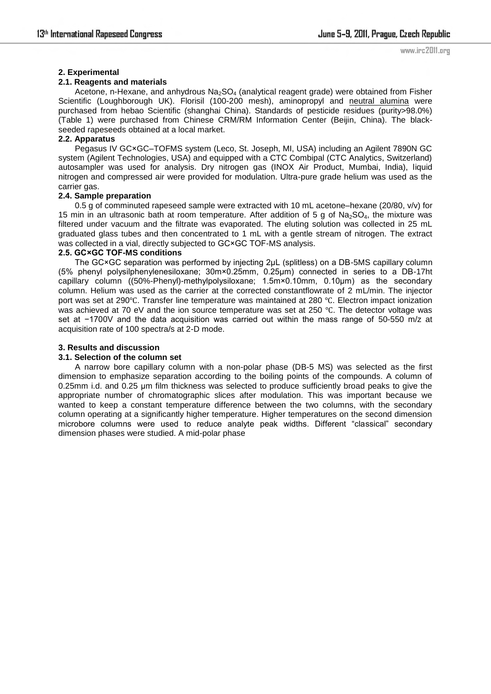# **2. Experimental**

# **2.1. Reagents and materials**

Acetone, n-Hexane, and anhydrous  $Na<sub>2</sub>SO<sub>4</sub>$  (analytical reagent grade) were obtained from Fisher Scientific (Loughborough UK). Florisil (100-200 mesh), aminopropyl and [neutral alumina](javascript:showjdsw() were purchased from hebao Scientific (shanghai China). Standards of pesticide residues (purity>98.0%) (Table 1) were purchased from Chinese CRM/RM Information Center (Beijin, China). The blackseeded rapeseeds obtained at a local market.

# **2.2. Apparatus**

Pegasus IV GC×GC–TOFMS system (Leco, St. Joseph, MI, USA) including an Agilent 7890N GC system (Agilent Technologies, USA) and equipped with a CTC Combipal (CTC Analytics, Switzerland) autosampler was used for analysis. Dry nitrogen gas (INOX Air Product, Mumbai, India), liquid nitrogen and compressed air were provided for modulation. Ultra-pure grade helium was used as the carrier gas.

# **2.4. Sample preparation**

0.5 g of comminuted [rapeseed](http://www.iciba.com/rapeseed/) sample were extracted with 10 mL acetone–hexane (20/80, v/v) for 15 min in an ultrasonic bath at room temperature. After addition of 5 g of  $Na_2SO_4$ , the mixture was filtered under vacuum and the filtrate was evaporated. The eluting solution was collected in 25 mL graduated glass tubes and then concentrated to 1 mL with a gentle stream of nitrogen. The extract was collected in a vial, directly subjected to GC×GC TOF-MS analysis.

# **2.5. GC×GC TOF-MS conditions**

The GC×GC separation was performed by injecting 2µL (splitless) on a DB-5MS capillary column (5% phenyl polysilphenylenesiloxane; 30m×0.25mm, 0.25µm) connected in series to a DB-17ht capillary column ((50%-Phenyl)-methylpolysiloxane; 1.5m×0.10mm, 0.10µm) as the secondary column. Helium was used as the carrier at the corrected constantflowrate of 2 mL/min. The injector port was set at 290℃. Transfer line temperature was maintained at 280 ℃. Electron impact ionization was achieved at 70 eV and the ion source temperature was set at 250 ℃. The detector voltage was set at −1700V and the data acquisition was carried out within the mass range of 50-550 m/z at acquisition rate of 100 spectra/s at 2-D mode.

# **3. Results and discussion**

# **3.1. Selection of the column set**

A narrow bore capillary column with a non-polar phase (DB-5 MS) was selected as the first dimension to emphasize separation according to the boiling points of the compounds. A column of 0.25mm i.d. and 0.25 µm film thickness was selected to produce sufficiently broad peaks to give the appropriate number of chromatographic slices after modulation. This was important because we wanted to keep a constant temperature difference between the two columns, with the secondary column operating at a significantly higher temperature. Higher temperatures on the second dimension microbore columns were used to reduce analyte peak widths. Different "classical" secondary dimension phases were studied. A mid-polar phase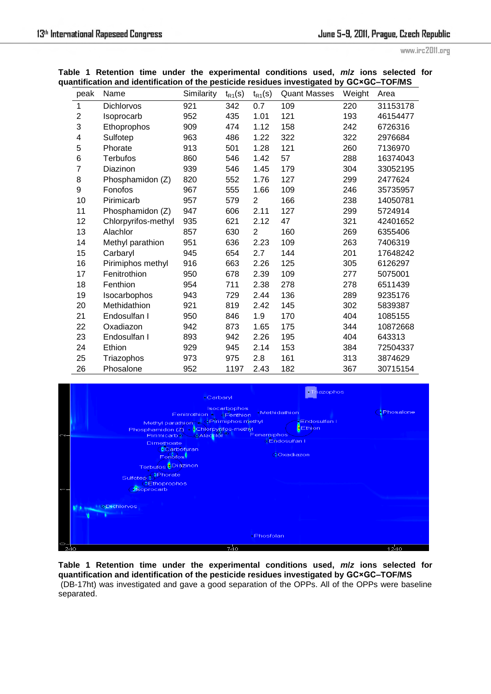www.irc2011.org

|  |  | Table 1 Retention time under the experimental conditions used, m/z ions selected for     |  |  |  |
|--|--|------------------------------------------------------------------------------------------|--|--|--|
|  |  | quantification and identification of the pesticide residues investigated by GC×GC-TOF/MS |  |  |  |

| peak                    | Name                | Similarity | $t_{R1}(s)$ | $t_{R1}(s)$ | <b>Quant Masses</b> | Weight | Area     |
|-------------------------|---------------------|------------|-------------|-------------|---------------------|--------|----------|
| 1                       | <b>Dichlorvos</b>   | 921        | 342         | 0.7         | 109                 | 220    | 31153178 |
| $\overline{c}$          | Isoprocarb          | 952        | 435         | 1.01        | 121                 | 193    | 46154477 |
| 3                       | Ethoprophos         | 909        | 474         | 1.12        | 158                 | 242    | 6726316  |
| $\overline{\mathbf{4}}$ | Sulfotep            | 963        | 486         | 1.22        | 322                 | 322    | 2976684  |
| 5                       | Phorate             | 913        | 501         | 1.28        | 121                 | 260    | 7136970  |
| 6                       | <b>Terbufos</b>     | 860        | 546         | 1.42        | 57                  | 288    | 16374043 |
| 7                       | Diazinon            | 939        | 546         | 1.45        | 179                 | 304    | 33052195 |
| 8                       | Phosphamidon (Z)    | 820        | 552         | 1.76        | 127                 | 299    | 2477624  |
| 9                       | Fonofos             | 967        | 555         | 1.66        | 109                 | 246    | 35735957 |
| 10                      | Pirimicarb          | 957        | 579         | 2           | 166                 | 238    | 14050781 |
| 11                      | Phosphamidon (Z)    | 947        | 606         | 2.11        | 127                 | 299    | 5724914  |
| 12                      | Chlorpyrifos-methyl | 935        | 621         | 2.12        | 47                  | 321    | 42401652 |
| 13                      | Alachlor            | 857        | 630         | 2           | 160                 | 269    | 6355406  |
| 14                      | Methyl parathion    | 951        | 636         | 2.23        | 109                 | 263    | 7406319  |
| 15                      | Carbaryl            | 945        | 654         | 2.7         | 144                 | 201    | 17648242 |
| 16                      | Pirimiphos methyl   | 916        | 663         | 2.26        | 125                 | 305    | 6126297  |
| 17                      | Fenitrothion        | 950        | 678         | 2.39        | 109                 | 277    | 5075001  |
| 18                      | Fenthion            | 954        | 711         | 2.38        | 278                 | 278    | 6511439  |
| 19                      | Isocarbophos        | 943        | 729         | 2.44        | 136                 | 289    | 9235176  |
| 20                      | Methidathion        | 921        | 819         | 2.42        | 145                 | 302    | 5839387  |
| 21                      | Endosulfan I        | 950        | 846         | 1.9         | 170                 | 404    | 1085155  |
| 22                      | Oxadiazon           | 942        | 873         | 1.65        | 175                 | 344    | 10872668 |
| 23                      | Endosulfan I        | 893        | 942         | 2.26        | 195                 | 404    | 643313   |
| 24                      | Ethion              | 929        | 945         | 2.14        | 153                 | 384    | 72504337 |
| 25                      | Triazophos          | 973        | 975         | 2.8         | 161                 | 313    | 3874629  |
| 26                      | Phosalone           | 952        | 1197        | 2.43        | 182                 | 367    | 30715154 |

| $\sim$   | Tr <mark>iazophos</mark><br>Carbaryl<br><b>Isocarbophos</b><br>Methidathion<br>Fenitrothion .<br><b>•Fenthion</b><br>Methyl parathion & CPirimiphos methyl<br><b>Endosulfan I</b><br>Ethion<br>Phosphamidon (Z) Chlorpyrifos-methyl<br>Fenamiphos<br>Pirimicarbo <sup>1</sup><br>CAlachlor | Phosalone |
|----------|--------------------------------------------------------------------------------------------------------------------------------------------------------------------------------------------------------------------------------------------------------------------------------------------|-----------|
|          | <b>CEndosulfan I</b><br><b>Dimethoate</b><br>Carbofuran<br><b>Coxadiazon</b><br>Fonofos<br>Terbufos <mark>(Diazinoni</mark><br>Phorate<br>Sulfotep<br><b>Ethoprophos</b>                                                                                                                   |           |
|          | <b>Soprocarb</b><br><b>I</b> ODichlorvos<br>Phosfolan                                                                                                                                                                                                                                      |           |
| Ò<br>240 | 740                                                                                                                                                                                                                                                                                        | 1240      |

Table 1 Retention time under the experimental conditions used, m/z ions selected for quantification and identification of the pesticide residues investigated by GC×GC-TOF/MS<br>(DB-17ht) was investigated and gave a good separation of the OPPs. All of the OPPs were baseline separated.